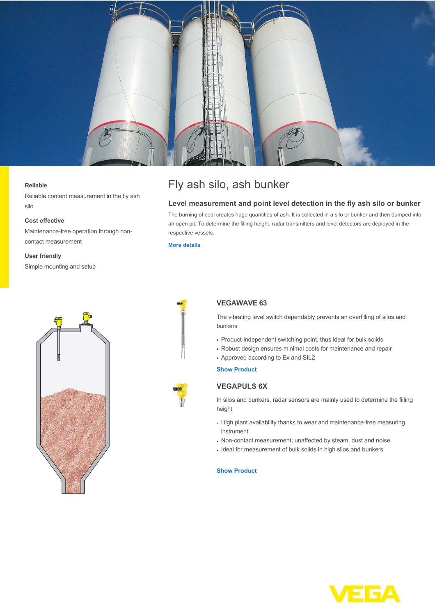

#### **Reliable**

Reliable content measurement in the fly ash silo

### **Cost effective**

Maintenance-free operation through noncontact measurement

#### **User friendly**

Simple mounting and setup



## **Level measurement and point level detection in the fly ash silo or bunker**

The burning of coal creates huge quantities of ash. It is collected in a silo or bunker and then dumped into an open pit. To determine the filling height, radar transmitters and level detectors are deployed in the respective vessels.

**[More details](http://localhost/en-us/industries/energy/coal-power-plant/fly-ash-silo-ash-bunker)**





# **VEGAWAVE 63**

The vibrating level switch dependably prevents an overfilling of silos and bunkers

- Product-independent switching point, thus ideal for bulk solids
- Robust design ensures minimal costs for maintenance and repair
- Approved according to Ex and SIL2

**[Show Product](http://localhost/en-us/products/product-catalog/switching/vibration/vegawave-63)**

## **VEGAPULS 6X**

In silos and bunkers, radar sensors are mainly used to determine the filling height

- High plant availability thanks to wear and maintenance-free measuring instrument
- Non-contact measurement; unaffected by steam, dust and noise
- Ideal for measurement of bulk solids in high silos and bunkers

### **[Show Product](http://localhost/en-us/products/product-catalog/level/radar/vegapuls-6x)**